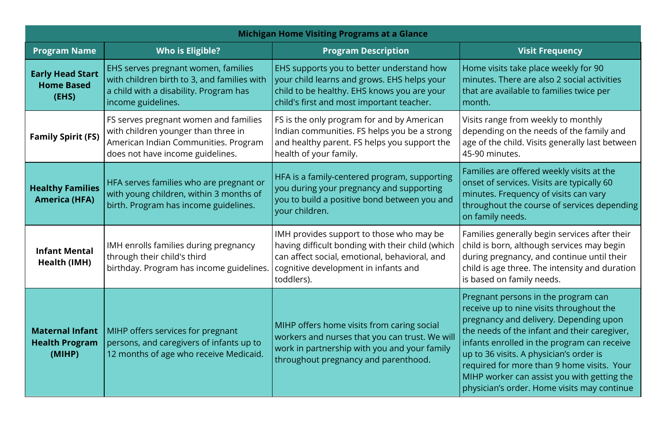| <b>Michigan Home Visiting Programs at a Glance</b>        |                                                                                                                                                          |                                                                                                                                                                                                     |                                                                                                                                                                                                                                                                                                                                                                                                                 |  |
|-----------------------------------------------------------|----------------------------------------------------------------------------------------------------------------------------------------------------------|-----------------------------------------------------------------------------------------------------------------------------------------------------------------------------------------------------|-----------------------------------------------------------------------------------------------------------------------------------------------------------------------------------------------------------------------------------------------------------------------------------------------------------------------------------------------------------------------------------------------------------------|--|
| <b>Program Name</b>                                       | <b>Who is Eligible?</b>                                                                                                                                  | <b>Program Description</b>                                                                                                                                                                          | <b>Visit Frequency</b>                                                                                                                                                                                                                                                                                                                                                                                          |  |
| <b>Early Head Start</b><br><b>Home Based</b><br>(EHS)     | EHS serves pregnant women, families<br>with children birth to 3, and families with<br>a child with a disability. Program has<br>income guidelines.       | EHS supports you to better understand how<br>your child learns and grows. EHS helps your<br>child to be healthy. EHS knows you are your<br>child's first and most important teacher.                | Home visits take place weekly for 90<br>minutes. There are also 2 social activities<br>that are available to families twice per<br>month.                                                                                                                                                                                                                                                                       |  |
| <b>Family Spirit (FS)</b>                                 | FS serves pregnant women and families<br>with children younger than three in<br>American Indian Communities. Program<br>does not have income guidelines. | FS is the only program for and by American<br>Indian communities. FS helps you be a strong<br>and healthy parent. FS helps you support the<br>health of your family.                                | Visits range from weekly to monthly<br>depending on the needs of the family and<br>age of the child. Visits generally last between<br>45-90 minutes.                                                                                                                                                                                                                                                            |  |
| <b>Healthy Families</b><br><b>America (HFA)</b>           | HFA serves families who are pregnant or<br>with young children, within 3 months of<br>birth. Program has income guidelines.                              | HFA is a family-centered program, supporting<br>you during your pregnancy and supporting<br>you to build a positive bond between you and<br>your children.                                          | Families are offered weekly visits at the<br>onset of services. Visits are typically 60<br>minutes. Frequency of visits can vary<br>throughout the course of services depending<br>on family needs.                                                                                                                                                                                                             |  |
| <b>Infant Mental</b><br><b>Health (IMH)</b>               | IMH enrolls families during pregnancy<br>through their child's third<br>birthday. Program has income guidelines.                                         | IMH provides support to those who may be<br>having difficult bonding with their child (which<br>can affect social, emotional, behavioral, and<br>cognitive development in infants and<br>toddlers). | Families generally begin services after their<br>child is born, although services may begin<br>during pregnancy, and continue until their<br>child is age three. The intensity and duration<br>is based on family needs.                                                                                                                                                                                        |  |
| <b>Maternal Infant</b><br><b>Health Program</b><br>(MIHP) | MIHP offers services for pregnant<br>persons, and caregivers of infants up to<br>12 months of age who receive Medicaid.                                  | MIHP offers home visits from caring social<br>workers and nurses that you can trust. We will<br>work in partnership with you and your family<br>throughout pregnancy and parenthood.                | Pregnant persons in the program can<br>receive up to nine visits throughout the<br>pregnancy and delivery. Depending upon<br>the needs of the infant and their caregiver,<br>infants enrolled in the program can receive<br>up to 36 visits. A physician's order is<br>required for more than 9 home visits. Your<br>MIHP worker can assist you with getting the<br>physician's order. Home visits may continue |  |